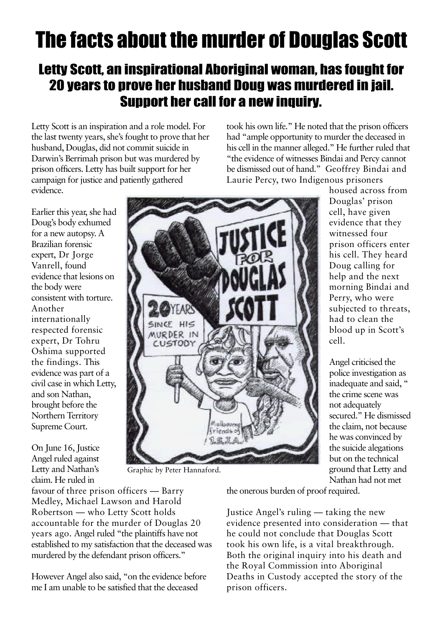## The facts about the murder of Douglas Scott

## Letty Scott, an inspirational Aboriginal woman, has fought for 20 years to prove her husband Doug was murdered in jail. Support her call for a new inquiry.

Letty Scott is an inspiration and a role model. For the last twenty years, she's fought to prove that her husband, Douglas, did not commit suicide in Darwin's Berrimah prison but was murdered by prison officers. Letty has built support for her campaign for justice and patiently gathered evidence.

took his own life." He noted that the prison officers had "ample opportunity to murder the deceased in his cell in the manner alleged." He further ruled that "the evidence of witnesses Bindai and Percy cannot be dismissed out of hand." Geoffrey Bindai and Laurie Percy, two Indigenous prisoners

> housed across from Douglas' prison cell, have given evidence that they witnessed four prison officers enter his cell. They heard Doug calling for help and the next morning Bindai and Perry, who were subjected to threats, had to clean the blood up in Scott's cell.

Angel criticised the police investigation as inadequate and said, " the crime scene was not adequately secured." He dismissed the claim, not because he was convinced by the suicide alegations but on the technical ground that Letty and Nathan had not met

Earlier this year, she had Doug's body exhumed for a new autopsy. A Brazilian forensic expert, Dr Jorge Vanrell, found evidence that lesions on the body were consistent with torture. Another internationally respected forensic expert, Dr Tohru Oshima supported the findings. This evidence was part of a civil case in which Letty, and son Nathan, brought before the Northern Territory Supreme Court.

On June 16, Justice Angel ruled against Letty and Nathan's claim. He ruled in

Graphic by Peter Hannaford.

favour of three prison officers — Barry Medley, Michael Lawson and Harold Robertson — who Letty Scott holds accountable for the murder of Douglas 20 years ago. Angel ruled "the plaintiffs have not established to my satisfaction that the deceased was murdered by the defendant prison officers."

However Angel also said, "on the evidence before me I am unable to be satisfied that the deceased

the onerous burden of proof required.

Justice Angel's ruling — taking the new evidence presented into consideration — that he could not conclude that Douglas Scott took his own life, is a vital breakthrough. Both the original inquiry into his death and the Royal Commission into Aboriginal Deaths in Custody accepted the story of the prison officers.